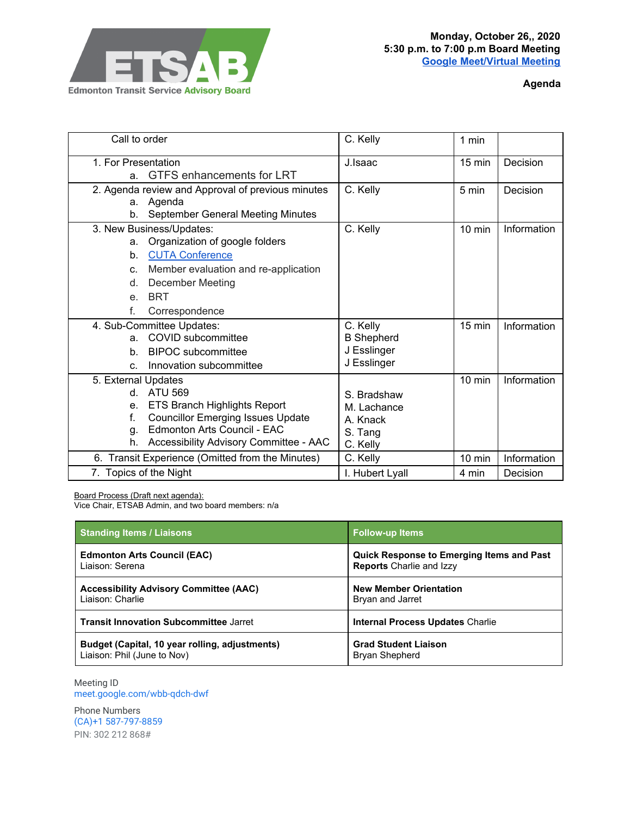

**Agenda**

| Call to order                                     | C. Kelly          | 1 min            |             |
|---------------------------------------------------|-------------------|------------------|-------------|
| 1. For Presentation                               | J. Isaac          | 15 min           | Decision    |
| GTFS enhancements for LRT<br>a.                   |                   |                  |             |
| 2. Agenda review and Approval of previous minutes | C. Kelly          | 5 min            | Decision    |
| Agenda<br>а.                                      |                   |                  |             |
| September General Meeting Minutes<br>b.           |                   |                  |             |
| 3. New Business/Updates:                          | C. Kelly          | $10 \text{ min}$ | Information |
| Organization of google folders<br>a.              |                   |                  |             |
| <b>CUTA Conference</b><br>$b$ .                   |                   |                  |             |
| Member evaluation and re-application<br>C.        |                   |                  |             |
| <b>December Meeting</b><br>d.                     |                   |                  |             |
| <b>BRT</b><br>e <sub>1</sub>                      |                   |                  |             |
| f.<br>Correspondence                              |                   |                  |             |
| 4. Sub-Committee Updates:                         | C. Kelly          | 15 min           | Information |
| COVID subcommittee<br>a.                          | <b>B</b> Shepherd |                  |             |
| <b>BIPOC</b> subcommittee<br>b.                   | J Esslinger       |                  |             |
| Innovation subcommittee<br>C.                     | J Esslinger       |                  |             |
| 5. External Updates                               |                   | $10 \text{ min}$ | Information |
| <b>ATU 569</b><br>d.                              | S. Bradshaw       |                  |             |
| <b>ETS Branch Highlights Report</b><br>е.         | M. Lachance       |                  |             |
| <b>Councillor Emerging Issues Update</b><br>f.    | A. Knack          |                  |             |
| Edmonton Arts Council - EAC<br>g.                 | S. Tang           |                  |             |
| Accessibility Advisory Committee - AAC<br>h.      | C. Kelly          |                  |             |
| 6. Transit Experience (Omitted from the Minutes)  | C. Kelly          | $10 \text{ min}$ | Information |
| 7. Topics of the Night                            | I. Hubert Lyall   | 4 min            | Decision    |

Board Process (Draft next agenda):

Vice Chair, ETSAB Admin, and two board members: n/a

| <b>Standing Items / Liaisons</b>               | <b>Follow-up Items</b>                           |  |
|------------------------------------------------|--------------------------------------------------|--|
| <b>Edmonton Arts Council (EAC)</b>             | <b>Quick Response to Emerging Items and Past</b> |  |
| Liaison: Serena                                | <b>Reports</b> Charlie and Izzy                  |  |
| <b>Accessibility Advisory Committee (AAC)</b>  | <b>New Member Orientation</b>                    |  |
| Liaison: Charlie                               | Bryan and Jarret                                 |  |
| <b>Transit Innovation Subcommittee Jarret</b>  | <b>Internal Process Updates Charlie</b>          |  |
| Budget (Capital, 10 year rolling, adjustments) | <b>Grad Student Liaison</b>                      |  |
| Liaison: Phil (June to Nov)                    | Bryan Shepherd                                   |  |

Meeting ID [meet.google.com/wbb-qdch-dwf](https://meet.google.com/wbb-qdch-dwf?hs=122&authuser=0)

Phone Numbers (CA)+1 587-797-8859 PIN: 302 212 868#